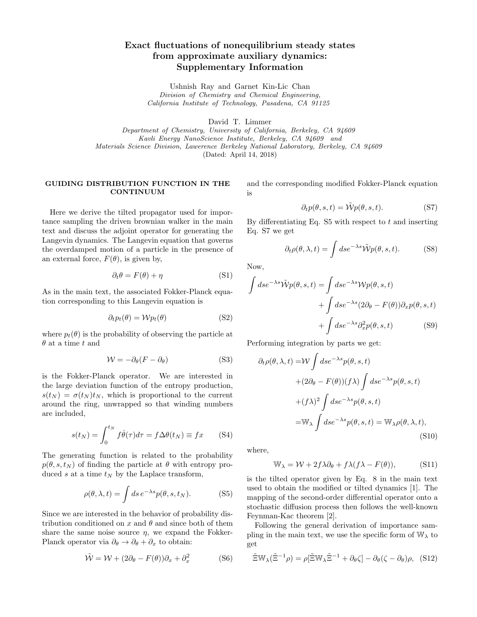# Exact fluctuations of nonequilibrium steady states from approximate auxiliary dynamics: Supplementary Information

Ushnish Ray and Garnet Kin-Lic Chan Division of Chemistry and Chemical Engineering, California Institute of Technology, Pasadena, CA 91125

David T. Limmer

Department of Chemistry, University of California, Berkeley, CA 94609 Kavli Energy NanoScience Institute, Berkeley, CA 94609 and Materials Science Division, Lawerence Berkeley National Laboratory, Berkeley, CA 94609 (Dated: April 14, 2018)

# GUIDING DISTRIBUTION FUNCTION IN THE CONTINUUM

Here we derive the tilted propagator used for importance sampling the driven brownian walker in the main text and discuss the adjoint operator for generating the Langevin dynamics. The Langevin equation that governs the overdamped motion of a particle in the presence of an external force,  $F(\theta)$ , is given by,

$$
\partial_t \theta = F(\theta) + \eta \tag{S1}
$$

As in the main text, the associated Fokker-Planck equation corresponding to this Langevin equation is

$$
\partial_t p_t(\theta) = \mathcal{W} p_t(\theta) \tag{S2}
$$

where  $p_t(\theta)$  is the probability of observing the particle at  $\theta$  at a time t and

$$
\mathcal{W} = -\partial_{\theta}(F - \partial_{\theta})
$$
 (S3)

is the Fokker-Planck operator. We are interested in the large deviation function of the entropy production,  $s(t_N) = \sigma(t_N)t_N$ , which is proportional to the current around the ring, unwrapped so that winding numbers are included,

$$
s(t_N) = \int_0^{t_N} f\dot{\theta}(\tau)d\tau = f\Delta\theta(t_N) \equiv fx \qquad (S4)
$$

The generating function is related to the probability  $p(\theta, s, t_N)$  of finding the particle at  $\theta$  with entropy produced s at a time  $t_N$  by the Laplace transform,

$$
\rho(\theta, \lambda, t) = \int ds \, e^{-\lambda s} p(\theta, s, t_N). \tag{S5}
$$

Since we are interested in the behavior of probability distribution conditioned on x and  $\theta$  and since both of them share the same noise source  $\eta$ , we expand the Fokker-Planck operator via  $\partial_{\theta} \rightarrow \partial_{\theta} + \partial_{x}$  to obtain:

$$
\tilde{\mathcal{W}} = \mathcal{W} + (2\partial_{\theta} - F(\theta))\partial_{x} + \partial_{x}^{2}
$$
 (S6)

and the corresponding modified Fokker-Planck equation is

$$
\partial_t p(\theta, s, t) = \tilde{\mathcal{W}} p(\theta, s, t). \tag{S7}
$$

By differentiating Eq.  $S5$  with respect to t and inserting Eq. S7 we get

$$
\partial_t \rho(\theta, \lambda, t) = \int ds e^{-\lambda s} \tilde{\mathcal{W}} p(\theta, s, t). \tag{S8}
$$

Now,

$$
\int ds e^{-\lambda s} \tilde{\mathcal{W}} p(\theta, s, t) = \int ds e^{-\lambda s} \mathcal{W} p(\theta, s, t)
$$

$$
+ \int ds e^{-\lambda s} (2\partial_{\theta} - F(\theta)) \partial_x p(\theta, s, t)
$$

$$
+ \int ds e^{-\lambda s} \partial_x^2 p(\theta, s, t) \tag{S9}
$$

Performing integration by parts we get:

$$
\partial_t \rho(\theta, \lambda, t) = \mathcal{W} \int ds e^{-\lambda s} p(\theta, s, t)
$$

$$
+ (2\partial_{\theta} - F(\theta))(f\lambda) \int ds e^{-\lambda s} p(\theta, s, t)
$$

$$
+ (f\lambda)^2 \int ds e^{-\lambda s} p(\theta, s, t)
$$

$$
= \mathbb{W}_{\lambda} \int ds e^{-\lambda s} p(\theta, s, t) = \mathbb{W}_{\lambda} \rho(\theta, \lambda, t), \tag{S10}
$$

where,

$$
\mathbb{W}_{\lambda} = \mathcal{W} + 2f\lambda \partial_{\theta} + f\lambda (f\lambda - F(\theta)), \tag{S11}
$$

is the tilted operator given by Eq. 8 in the main text used to obtain the modified or tilted dynamics [1]. The mapping of the second-order differential operator onto a stochastic diffusion process then follows the well-known Feynman-Kac theorem [2].

Following the general derivation of importance sampling in the main text, we use the specific form of  $\mathbb{W}_{\lambda}$  to get

$$
\tilde{\Xi}\mathbb{W}_{\lambda}(\tilde{\Xi}^{-1}\rho) = \rho[\tilde{\Xi}\mathbb{W}_{\lambda}\tilde{\Xi}^{-1} + \partial_{\theta}\zeta] - \partial_{\theta}(\zeta - \partial_{\theta})\rho, \quad (S12)
$$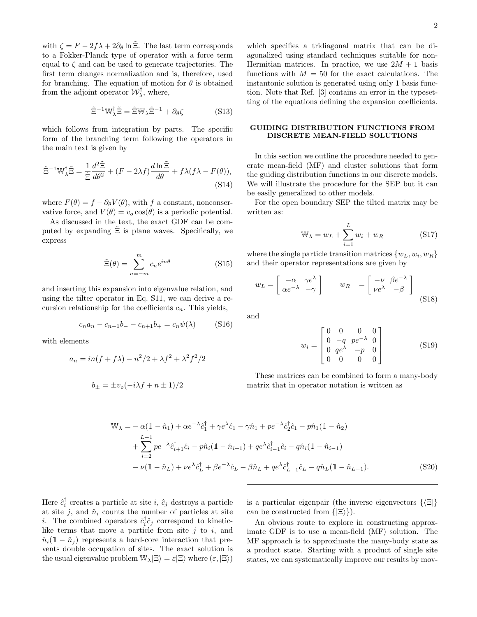with  $\zeta = F - 2f\lambda + 2\partial_\theta \ln \tilde{\Xi}$ . The last term corresponds to a Fokker-Planck type of operator with a force term equal to  $\zeta$  and can be used to generate trajectories. The first term changes normalization and is, therefore, used for branching. The equation of motion for  $\theta$  is obtained from the adjoint operator  $\mathcal{W}_{\lambda}^{\dagger}$ , where,

$$
\tilde{\Xi}^{-1} \mathbb{W}_{\lambda}^{\dagger} \tilde{\Xi} = \tilde{\Xi} \mathbb{W}_{\lambda} \tilde{\Xi}^{-1} + \partial_{\theta} \zeta \tag{S13}
$$

which follows from integration by parts. The specific form of the branching term following the operators in the main text is given by

$$
\tilde{\Xi}^{-1} \mathbb{W}_{\lambda}^{\dagger} \tilde{\Xi} = \frac{1}{\tilde{\Xi}} \frac{d^2 \tilde{\Xi}}{d\theta^2} + (F - 2\lambda f) \frac{d \ln \tilde{\Xi}}{d\theta} + f \lambda (f \lambda - F(\theta)),
$$
\n(S14)

where  $F(\theta) = f - \partial_{\theta} V(\theta)$ , with f a constant, nonconservative force, and  $V(\theta) = v_o \cos(\theta)$  is a periodic potential.

As discussed in the text, the exact GDF can be computed by expanding  $\tilde{\Xi}$  is plane waves. Specifically, we express

$$
\tilde{\Xi}(\theta) = \sum_{n=-m}^{m} c_n e^{in\theta}
$$
 (S15)

and inserting this expansion into eigenvalue relation, and using the tilter operator in Eq. S11, we can derive a recursion relationship for the coefficients  $c_n$ . This yields,

$$
c_n a_n - c_{n-1} b_- - c_{n+1} b_+ = c_n \psi(\lambda)
$$
 (S16)

with elements

$$
a_n = in(f + f\lambda) - n^2/2 + \lambda f^2 + \lambda^2 f^2/2
$$
  

$$
b_n = +n \left(-i\right) f + n + 1/2
$$

$$
b_{\pm} = \pm v_o(-i\lambda f + n \pm 1)/2
$$

which specifies a tridiagonal matrix that can be diagonalized using standard techniques suitable for non-Hermitian matrices. In practice, we use  $2M + 1$  basis functions with  $M = 50$  for the exact calculations. The instantonic solution is generated using only 1 basis function. Note that Ref. [3] contains an error in the typesetting of the equations defining the expansion coefficients.

### GUIDING DISTRIBUTION FUNCTIONS FROM DISCRETE MEAN-FIELD SOLUTIONS

In this section we outline the procedure needed to generate mean-field (MF) and cluster solutions that form the guiding distribution functions in our discrete models. We will illustrate the procedure for the SEP but it can be easily generalized to other models.

For the open boundary SEP the tilted matrix may be written as:

$$
\mathbb{W}_{\lambda} = w_L + \sum_{i=1}^{L} w_i + w_R \tag{S17}
$$

where the single particle transition matrices  $\{w_L, w_i, w_R\}$ and their operator representations are given by

$$
w_L = \begin{bmatrix} -\alpha & \gamma e^{\lambda} \\ \alpha e^{-\lambda} & -\gamma \end{bmatrix} \qquad w_R = \begin{bmatrix} -\nu & \beta e^{-\lambda} \\ \nu e^{\lambda} & -\beta \end{bmatrix}
$$
(S18)

and

$$
w_i = \begin{bmatrix} 0 & 0 & 0 & 0 \\ 0 & -q & pe^{-\lambda} & 0 \\ 0 & qe^{\lambda} & -p & 0 \\ 0 & 0 & 0 & 0 \end{bmatrix}
$$
 (S19)

These matrices can be combined to form a many-body matrix that in operator notation is written as

$$
\mathbb{W}_{\lambda} = -\alpha(\mathbb{1} - \hat{n}_1) + \alpha e^{-\lambda} \hat{c}_1^{\dagger} + \gamma e^{\lambda} \hat{c}_1 - \gamma \hat{n}_1 + p e^{-\lambda} \hat{c}_2^{\dagger} \hat{c}_1 - p \hat{n}_1 (\mathbb{1} - \hat{n}_2) \n+ \sum_{i=2}^{L-1} p e^{-\lambda} \hat{c}_{i+1}^{\dagger} \hat{c}_i - p \hat{n}_i (\mathbb{1} - \hat{n}_{i+1}) + q e^{\lambda} \hat{c}_{i-1}^{\dagger} \hat{c}_i - q \hat{n}_i (\mathbb{1} - \hat{n}_{i-1}) \n- \nu (\mathbb{1} - \hat{n}_L) + \nu e^{\lambda} \hat{c}_L^{\dagger} + \beta e^{-\lambda} \hat{c}_L - \beta \hat{n}_L + q e^{\lambda} \hat{c}_{L-1}^{\dagger} \hat{c}_L - q \hat{n}_L (\mathbb{1} - \hat{n}_{L-1}).
$$
\n(S20)

Here  $\hat{c}_i^{\dagger}$  creates a particle at site *i*,  $\hat{c}_j$  destroys a particle at site j, and  $\hat{n}_i$  counts the number of particles at site *i*. The combined operators  $\hat{c}_i^{\dagger} \hat{c}_j$  correspond to kineticlike terms that move a particle from site  $j$  to  $i$ , and  $\hat{n}_i(1-\hat{n}_i)$  represents a hard-core interaction that prevents double occupation of sites. The exact solution is the usual eigenvalue problem  $\mathbb{W}_{\lambda}|\Xi\rangle = \varepsilon|\Xi\rangle$  where  $(\varepsilon, |\Xi\rangle)$ 

is a particular eigenpair (the inverse eigenvectors  $\{\langle \Xi | \}$ ) can be constructed from  $\{|\Xi\rangle\}$ .

An obvious route to explore in constructing approximate GDF is to use a mean-field (MF) solution. The MF approach is to approximate the many-body state as a product state. Starting with a product of single site states, we can systematically improve our results by mov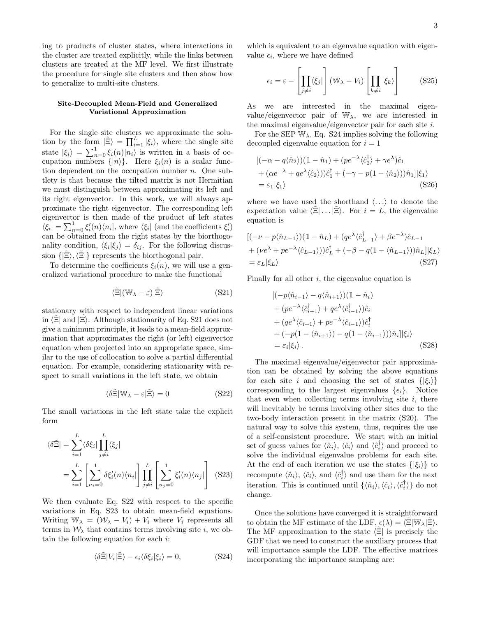ing to products of cluster states, where interactions in the cluster are treated explicitly, while the links between clusters are treated at the MF level. We first illustrate the procedure for single site clusters and then show how to generalize to multi-site clusters.

# Site-Decoupled Mean-Field and Generalized Variational Approximation

For the single site clusters we approximate the solution by the form  $|\tilde{\Xi}\rangle = \prod_{i=1}^{L} |\xi_i\rangle$ , where the single site state  $|\xi_i\rangle = \sum_{n=0}^1 \xi_i(n)|n_i\rangle$  is written in a basis of occupation numbers  $\{|n\rangle\}$ . Here  $\xi_i(n)$  is a scalar function dependent on the occupation number  $n$ . One subtlety is that because the tilted matrix is not Hermitian we must distinguish between approximating its left and its right eigenvector. In this work, we will always approximate the right eigenvector. The corresponding left eigenvector is then made of the product of left states  $\langle \xi_i | = \sum_{n=0}^1 \xi'_i(n) \langle n_i |$ , where  $\langle \xi_i |$  (and the coefficients  $\xi'_i$ ) can be obtained from the right states by the biorthogonality condition,  $\langle \xi_i | \xi_j \rangle = \delta_{ij}$ . For the following discussion  $\{|\Xi\rangle, \langle \Xi|\}$  represents the biorthogonal pair.

To determine the coefficients  $\xi_i(n)$ , we will use a generalized variational procedure to make the functional

$$
\langle \tilde{\Xi} | (\mathbb{W}_{\lambda} - \varepsilon) | \tilde{\Xi} \rangle \tag{S21}
$$

stationary with respect to independent linear variations in  $\langle \Xi |$  and  $|\Xi \rangle$ . Although stationarity of Eq. S21 does not give a minimum principle, it leads to a mean-field approximation that approximates the right (or left) eigenvector equation when projected into an appropriate space, similar to the use of collocation to solve a partial differential equation. For example, considering stationarity with respect to small variations in the left state, we obtain

$$
\langle \delta \tilde{\Xi} | \mathbb{W}_{\lambda} - \varepsilon | \tilde{\Xi} \rangle = 0 \tag{S22}
$$

The small variations in the left state take the explicit form

$$
\langle \delta \tilde{\Xi} | = \sum_{i=1}^{L} \langle \delta \xi_i | \prod_{j \neq i}^{L} \langle \xi_j |
$$
  
= 
$$
\sum_{i=1}^{L} \left[ \sum_{n_i=0}^{1} \delta \xi'_i(n) \langle n_i | \right] \prod_{j \neq i}^{L} \left[ \sum_{n_j=0}^{1} \xi'_i(n) \langle n_j | \right]
$$
(S23)

We then evaluate Eq. S22 with respect to the specific variations in Eq. S23 to obtain mean-field equations. Writing  $\mathbb{W}_{\lambda} = (\mathcal{W}_{\lambda} - V_i) + V_i$  where  $V_i$  represents all terms in  $W_{\lambda}$  that contains terms involving site i, we obtain the following equation for each i:

$$
\langle \delta \tilde{\Xi} | V_i | \tilde{\Xi} \rangle - \epsilon_i \langle \delta \xi_i | \xi_i \rangle = 0, \qquad (S24)
$$

which is equivalent to an eigenvalue equation with eigenvalue  $\epsilon_i$ , where we have defined

$$
\epsilon_i = \varepsilon - \left[ \prod_{j \neq i} \langle \xi_j | \right] (W_\lambda - V_i) \left[ \prod_{k \neq i} |\xi_k \rangle \right]
$$
 (S25)

As we are interested in the maximal eigenvalue/eigenvector pair of  $W_{\lambda}$ , we are interested in the maximal eigenvalue/eigenvector pair for each site i.

For the SEP  $\mathbb{W}_{\lambda}$ , Eq. S24 implies solving the following decoupled eigenvalue equation for  $i = 1$ 

$$
[(-\alpha - q(\hat{n}_2))(\mathbb{1} - \hat{n}_1) + (pe^{-\lambda}\langle \hat{c}_2^{\dagger} \rangle + \gamma e^{\lambda})\hat{c}_1
$$
  
+ 
$$
(\alpha e^{-\lambda} + qe^{\lambda}\langle \hat{c}_2 \rangle)\hat{c}_1^{\dagger} + (-\gamma - p(1 - \langle \hat{n}_2 \rangle))\hat{n}_1]|\xi_1\rangle
$$
  
= 
$$
\varepsilon_1|\xi_1\rangle
$$
 (S26)

where we have used the shorthand  $\langle \ldots \rangle$  to denote the expectation value  $\langle \Xi | \dots | \Xi \rangle$ . For  $i = L$ , the eigenvalue equation is

$$
[(-\nu - p\langle \hat{n}_{L-1} \rangle)(1 - \hat{n}_L) + (qe^{\lambda} \langle \hat{c}_{L-1}^{\dagger} \rangle + \beta e^{-\lambda})\hat{c}_{L-1} + (\nu e^{\lambda} + pe^{-\lambda} \langle \hat{c}_{L-1} \rangle))\hat{c}_L^{\dagger} + (-\beta - q(1 - \langle \hat{n}_{L-1} \rangle))\hat{n}_L]|\xi_L\rangle = \varepsilon_L|\xi_L\rangle
$$
 (S27)

Finally for all other  $i$ , the eigenvalue equation is

$$
\begin{aligned}\n[(-p\langle \hat{n}_{i-1} \rangle - q\langle \hat{n}_{i+1} \rangle)(1 - \hat{n}_i) \\
+ (pe^{-\lambda} \langle \hat{c}_{i+1}^{\dagger} \rangle + qe^{\lambda} \langle \hat{c}_{i-1}^{\dagger} \rangle) \hat{c}_i \\
+ (qe^{\lambda} \langle \hat{c}_{i+1} \rangle + pe^{-\lambda} \langle \hat{c}_{i-1} \rangle) \hat{c}_i^{\dagger} \\
+ (-p(1 - \langle \hat{n}_{i+1} \rangle) - q(1 - \langle \hat{n}_{i-1} \rangle)) \hat{n}_i]|\xi_i\rangle \\
= \varepsilon_i|\xi_i\rangle.\n\end{aligned} \tag{S28}
$$

The maximal eigenvalue/eigenvector pair approximation can be obtained by solving the above equations for each site i and choosing the set of states  $\{|\xi_i\rangle\}$ corresponding to the largest eigenvalues  $\{\epsilon_i\}$ . Notice that even when collecting terms involving site  $i$ , there will inevitably be terms involving other sites due to the two-body interaction present in the matrix (S20). The natural way to solve this system, thus, requires the use of a self-consistent procedure. We start with an initial set of guess values for  $\langle \hat{n}_i \rangle$ ,  $\langle \hat{c}_i \rangle$  and  $\langle \hat{c}_i^{\dagger} \rangle$  and proceed to solve the individual eigenvalue problems for each site. At the end of each iteration we use the states  $\{|\xi_i\rangle\}$  to recompute  $\langle \hat{n}_i \rangle$ ,  $\langle \hat{c}_i \rangle$ , and  $\langle \hat{c}_i^{\dagger} \rangle$  and use them for the next iteration. This is continued until  $\{\langle \hat{n}_i \rangle, \langle \hat{c}_i \rangle, \langle \hat{c}_i^{\dagger} \rangle\}$  do not change.

Once the solutions have converged it is straightforward to obtain the MF estimate of the LDF,  $\epsilon(\lambda) = \langle \Xi | \mathbb{W}_{\lambda} | \Xi \rangle$ . The MF approximation to the state  $\langle \Xi |$  is precisely the GDF that we need to construct the auxiliary process that will importance sample the LDF. The effective matrices incorporating the importance sampling are: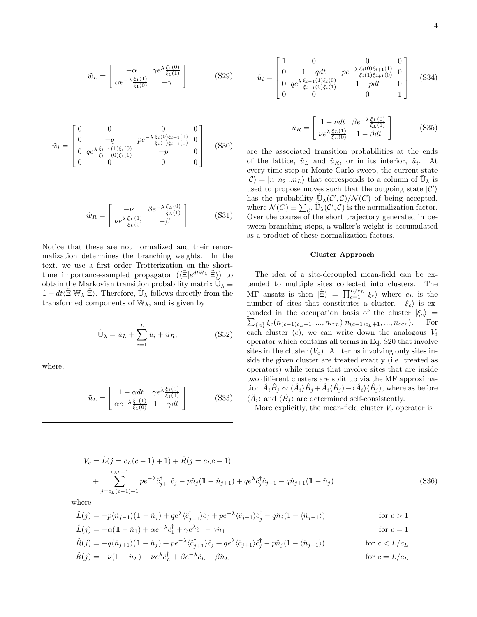$$
\tilde{w}_L = \begin{bmatrix} -\alpha & \gamma e^{\lambda} \frac{\xi_1(0)}{\xi_1(1)} \\ \alpha e^{-\lambda} \frac{\xi_1(1)}{\xi_1(0)} & -\gamma \end{bmatrix}
$$
 (S29)

$$
\tilde{w}_i = \begin{bmatrix} 0 & 0 & 0 & 0 & 0\\ 0 & -q & pe^{-\lambda} \frac{\xi_i(0)\xi_{i+1}(1)}{\xi_i(1)\xi_{i+1}(0)} & 0\\ 0 & qe^{\lambda} \frac{\xi_{i-1}(1)\xi_i(0)}{\xi_{i-1}(0)\xi_i(1)} & -p & 0\\ 0 & 0 & 0 & 0 \end{bmatrix}
$$
 (S30)

$$
\tilde{w}_R = \begin{bmatrix} -\nu & \beta e^{-\lambda} \frac{\xi_L(0)}{\xi_L(1)}\\ \nu e^{\lambda} \frac{\xi_L(1)}{\xi_L(0)} & -\beta \end{bmatrix}
$$
 (S31)

Notice that these are not normalized and their renormalization determines the branching weights. In the text, we use a first order Trotterization on the shorttime importance-sampled propagator  $(\langle \tilde{\Xi} | e^{dt \mathbb{W}_{\lambda}} | \tilde{\Xi} \rangle)$  to obtain the Markovian transition probability matrix  $\widetilde{\mathbb{U}}_{\lambda} \equiv$  $1 + dt \langle \tilde{\Xi} | \mathbb{W}_{\lambda} | \tilde{\Xi} \rangle$ . Therefore,  $\tilde{\mathbb{U}}_{\lambda}$  follows directly from the transformed components of  $\mathbb{W}_{\lambda}$ , and is given by

$$
\tilde{\mathbb{U}}_{\lambda} = \tilde{u}_L + \sum_{i=1}^{L} \tilde{u}_i + \tilde{u}_R, \tag{S32}
$$

where,

$$
\tilde{u}_L = \begin{bmatrix} 1 - \alpha dt & \gamma e^{\lambda} \frac{\xi_1(0)}{\xi_1(1)} \\ \alpha e^{-\lambda} \frac{\xi_1(1)}{\xi_1(0)} & 1 - \gamma dt \end{bmatrix}
$$
 (S33)

$$
\tilde{u}_i = \begin{bmatrix} 1 & 0 & 0 & 0 \\ 0 & 1 - qdt & p e^{-\lambda} \frac{\xi_i(0)\xi_{i+1}(1)}{\xi_i(1)\xi_{i+1}(0)} & 0 \\ 0 & q e^{\lambda} \frac{\xi_{i-1}(1)\xi_i(0)}{\xi_{i-1}(0)\xi_i(1)} & 1 - pdt & 0 \\ 0 & 0 & 0 & 1 \end{bmatrix}
$$
 (S34)

$$
\tilde{u}_R = \begin{bmatrix} 1 - \nu dt & \beta e^{-\lambda} \frac{\xi_L(0)}{\xi_L(1)} \\ \nu e^{\lambda} \frac{\xi_L(1)}{\xi_L(0)} & 1 - \beta dt \end{bmatrix}
$$
 (S35)

are the associated transition probabilities at the ends of the lattice,  $\tilde{u}_L$  and  $\tilde{u}_R$ , or in its interior,  $\tilde{u}_i$ . At every time step or Monte Carlo sweep, the current state  $|\mathcal{C}\rangle = |n_1 n_2 ... n_L\rangle$  that corresponds to a column of  $\tilde{\mathbb{U}}_{\lambda}$  is used to propose moves such that the outgoing state  $|C'\rangle$ has the probability  $\tilde{\mathbb{U}}_{\lambda}(\mathcal{C}', \mathcal{C})/\mathcal{N}(C)$  of being accepted, where  $\mathcal{N}(C) \equiv \sum_{\mathcal{C}'} \tilde{\mathbb{U}}_{\lambda}(\mathcal{C}', \mathcal{C})$  is the normalization factor. Over the course of the short trajectory generated in between branching steps, a walker's weight is accumulated as a product of these normalization factors.

#### Cluster Approach

The idea of a site-decoupled mean-field can be extended to multiple sites collected into clusters. The MF ansatz is then  $|\tilde{\Xi}\rangle = \prod_{c=1}^{L/c_L} |\xi_c\rangle$  where  $c_L$  is the number of sites that constitutes a cluster.  $|\xi_c\rangle$  is ex- $\sum_{n} \xi_c(n_{(c-1)c_L+1},...,n_{cc_L})|n_{(c-1)c_L+1},...,n_{cc_L}$ panded in the occupation basis of the cluster  $|\xi_c\rangle$  = For each cluster  $(c)$ , we can write down the analogous  $V_i$ operator which contains all terms in Eq. S20 that involve sites in the cluster  $(V_c)$ . All terms involving only sites inside the given cluster are treated exactly (i.e. treated as operators) while terms that involve sites that are inside two different clusters are split up via the MF approxima- $\hat{A}_i \hat{B}_j \sim \langle \hat{A}_i \rangle \hat{B}_j + \hat{A}_i \langle \hat{B}_j \rangle - \overline{\langle \hat{A}_i \rangle \langle \hat{B}_j \rangle},$  where as before  $\langle \hat{A}_i \rangle$  and  $\langle \hat{B}_j \rangle$  are determined self-consistently.

More explicitly, the mean-field cluster  $V_c$  operator is

$$
V_c = \hat{L}(j = c_L(c - 1) + 1) + \hat{R}(j = c_Lc - 1)
$$
  
+ 
$$
\sum_{j=c_L(c-1)+1}^{c_Lc-1} p e^{-\lambda} \hat{c}_{j+1}^{\dagger} \hat{c}_j - p \hat{n}_j (\mathbb{1} - \hat{n}_{j+1}) + q e^{\lambda} \hat{c}_j^{\dagger} \hat{c}_{j+1} - q \hat{n}_{j+1} (\mathbb{1} - \hat{n}_j)
$$
(S36)

where

$$
\hat{L}(j) = -p\langle \hat{n}_{j-1} \rangle \left(1 - \hat{n}_j\right) + qe^{\lambda} \langle \hat{c}_{j-1}^{\dagger} \rangle \hat{c}_j + pe^{-\lambda} \langle \hat{c}_{j-1} \rangle \hat{c}_j^{\dagger} - q\hat{n}_j \langle 1 - \langle \hat{n}_{j-1} \rangle \right) \qquad \text{for } c > 1
$$
\n
$$
\hat{L}(j) = -\alpha \left(1 - \hat{n}_1\right) + \alpha e^{-\lambda} \hat{c}_1^{\dagger} + \gamma e^{\lambda} \hat{c}_1 - \gamma \hat{n}_1 \qquad \text{for } c = 1
$$

$$
\hat{R}(j) = -q\langle \hat{n}_{j+1} \rangle (\mathbb{1} - \hat{n}_j) + p e^{-\lambda} \langle \hat{c}_{j+1}^{\dagger} \rangle \hat{c}_j + q e^{\lambda} \langle \hat{c}_{j+1} \rangle \hat{c}_j^{\dagger} - p \hat{n}_j (1 - \langle \hat{n}_{j+1} \rangle) \quad \text{for } c < L/c_L
$$
\n
$$
\hat{R}(j) = -\nu (\mathbb{1} - \hat{n}_L) + \nu e^{\lambda} \hat{c}_L^{\dagger} + \beta e^{-\lambda} \hat{c}_L - \beta \hat{n}_L \quad \text{for } c = L/c_L
$$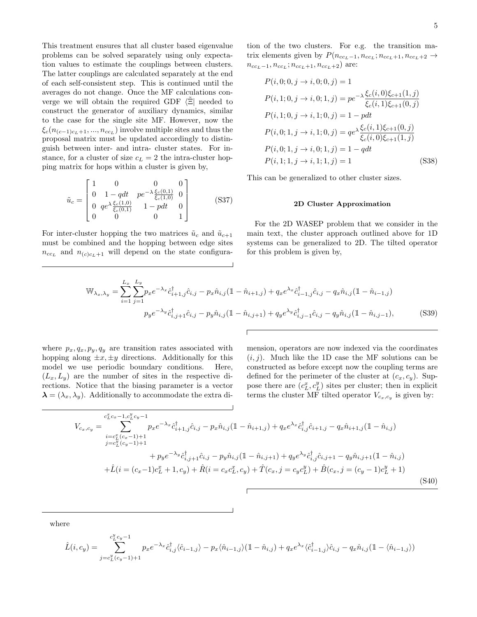This treatment ensures that all cluster based eigenvalue problems can be solved separately using only expectation values to estimate the couplings between clusters. The latter couplings are calculated separately at the end of each self-consistent step. This is continued until the averages do not change. Once the MF calculations converge we will obtain the required GDF  $\langle \Xi |$  needed to construct the generator of auxiliary dynamics, similar to the case for the single site MF. However, now the  $\xi_c(n_{(c-1)c_L+1},...,n_{cc_L})$  involve multiple sites and thus the proposal matrix must be updated accordingly to distinguish between inter- and intra- cluster states. For instance, for a cluster of size  $c_L = 2$  the intra-cluster hopping matrix for hops within a cluster is given by,

$$
\tilde{u}_c = \begin{bmatrix} 1 & 0 & 0 & 0 \\ 0 & 1 - qdt & p e^{-\lambda} \frac{\xi_c(0,1)}{\xi_c(1,0)} & 0 \\ 0 & q e^{\lambda} \frac{\xi_c(1,0)}{\xi_c(0,1)} & 1 - pdt & 0 \\ 0 & 0 & 0 & 1 \end{bmatrix}
$$
(S37)

For inter-cluster hopping the two matrices  $\tilde{u}_c$  and  $\tilde{u}_{c+1}$ must be combined and the hopping between edge sites  $n_{cc_L}$  and  $n_{(c)c_L+1}$  will depend on the state configuration of the two clusters. For e.g. the transition matrix elements given by  $P(n_{cc_L-1}, n_{cc_L}; n_{cc_L+1}, n_{cc_L+2} \rightarrow$  $n_{cc_L-1}, n_{cc_L}; n_{cc_L+1}, n_{cc_L+2})$  are:

$$
P(i, 0; 0, j \rightarrow i, 0; 0, j) = 1
$$
  
\n
$$
P(i, 1; 0, j \rightarrow i, 0; 1, j) = p e^{-\lambda} \frac{\xi_c(i, 0)\xi_{c+1}(1, j)}{\xi_c(i, 1)\xi_{c+1}(0, j)}
$$
  
\n
$$
P(i, 1; 0, j \rightarrow i, 1; 0, j) = 1 - p dt
$$
  
\n
$$
P(i, 0; 1, j \rightarrow i, 1; 0, j) = q e^{\lambda} \frac{\xi_c(i, 1)\xi_{c+1}(0, j)}{\xi_c(i, 0)\xi_{c+1}(1, j)}
$$
  
\n
$$
P(i, 0; 1, j \rightarrow i, 0; 1, j) = 1 - q dt
$$
  
\n
$$
P(i, 1; 1, j \rightarrow i, 1; 1, j) = 1
$$
 (S38)

This can be generalized to other cluster sizes.

### 2D Cluster Approximation

For the 2D WASEP problem that we consider in the main text, the cluster approach outlined above for 1D systems can be generalized to 2D. The tilted operator for this problem is given by,

$$
\mathbb{W}_{\lambda_x,\lambda_y} = \sum_{i=1}^{L_x} \sum_{j=1}^{L_y} p_x e^{-\lambda_x} \hat{c}_{i+1,j}^{\dagger} \hat{c}_{i,j} - p_x \hat{n}_{i,j} (\mathbb{1} - \hat{n}_{i+1,j}) + q_x e^{\lambda_x} \hat{c}_{i-1,j}^{\dagger} \hat{c}_{i,j} - q_x \hat{n}_{i,j} (\mathbb{1} - \hat{n}_{i-1,j})
$$
  
\n
$$
p_y e^{-\lambda_y} \hat{c}_{i,j+1}^{\dagger} \hat{c}_{i,j} - p_y \hat{n}_{i,j} (\mathbb{1} - \hat{n}_{i,j+1}) + q_y e^{\lambda_y} \hat{c}_{i,j-1}^{\dagger} \hat{c}_{i,j} - q_y \hat{n}_{i,j} (\mathbb{1} - \hat{n}_{i,j-1}),
$$
\n(S39)

where  $p_x, q_x, p_y, q_y$  are transition rates associated with hopping along  $\pm x, \pm y$  directions. Additionally for this model we use periodic boundary conditions. Here,  $(L_x, L_y)$  are the number of sites in the respective directions. Notice that the biasing parameter is a vector  $\lambda = (\lambda_x, \lambda_y)$ . Additionally to accommodate the extra di-

mension, operators are now indexed via the coordinates  $(i, j)$ . Much like the 1D case the MF solutions can be constructed as before except now the coupling terms are defined for the perimeter of the cluster at  $(c_x, c_y)$ . Suppose there are  $(c<sub>L</sub><sup>y</sup>, c<sub>L</sub><sup>y</sup>)$  sites per cluster; then in explicit terms the cluster MF tilted operator  $V_{c_x,c_y}$  is given by:

$$
V_{c_x,c_y} = \sum_{\substack{i=c_L^x(c_x-1)+1 \\ j=c_L^y(c_y-1)+1}}^{c_L^x c_x-1, c_L^y c_y-1} p_x e^{-\lambda_x} \hat{c}_{i+1,j}^{\dagger} \hat{c}_{i,j} - p_x \hat{n}_{i,j} (1-\hat{n}_{i+1,j}) + q_x e^{\lambda_x} \hat{c}_{i,j}^{\dagger} \hat{c}_{i+1,j} - q_x \hat{n}_{i+1,j} (1-\hat{n}_{i,j})
$$
  
+ 
$$
p_y e^{-\lambda_y} \hat{c}_{i,j+1}^{\dagger} \hat{c}_{i,j} - p_y \hat{n}_{i,j} (1-\hat{n}_{i,j+1}) + q_y e^{\lambda_y} \hat{c}_{i,j}^{\dagger} \hat{c}_{i,j+1} - q_y \hat{n}_{i,j+1} (1-\hat{n}_{i,j})
$$
  
+ 
$$
\hat{L}(i = (c_x-1)c_L^x + 1, c_y) + \hat{R}(i = c_x c_L^x, c_y) + \hat{T}(c_x, j = c_y c_L^y) + \hat{B}(c_x, j = (c_y-1)c_L^y + 1)
$$
  
(S40)

where

$$
\hat{L}(i,c_y) = \sum_{j=c_L^y(c_y-1)+1}^{c_L^y(c_y-1)} p_x e^{-\lambda_x} \hat{c}_{i,j}^{\dagger} \langle \hat{c}_{i-1,j} \rangle - p_x \langle \hat{n}_{i-1,j} \rangle (\mathbb{1} - \hat{n}_{i,j}) + q_x e^{\lambda_x} \langle \hat{c}_{i-1,j}^{\dagger} \rangle \hat{c}_{i,j} - q_x \hat{n}_{i,j} (\mathbb{1} - \langle \hat{n}_{i-1,j} \rangle)
$$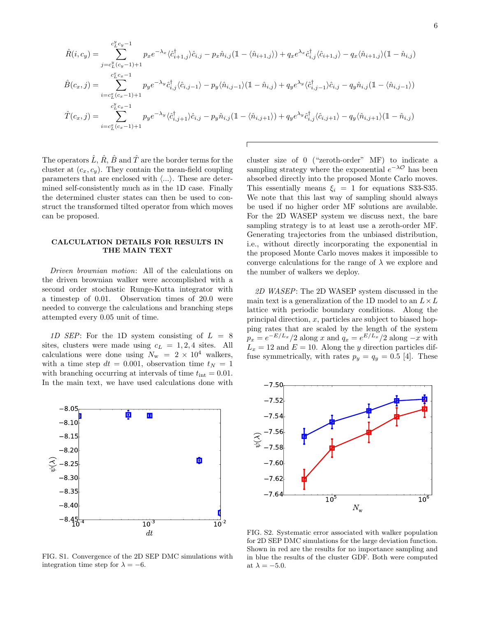$$
\hat{R}(i,c_y) = \sum_{j=c_L^y(c_y-1)+1}^{c_L^y c_y-1} p_x e^{-\lambda_x} \langle \hat{c}_{i+1,j}^{\dagger} \rangle \hat{c}_{i,j} - p_x \hat{n}_{i,j} (1 - \langle \hat{n}_{i+1,j} \rangle) + q_x e^{\lambda_x} \hat{c}_{i,j}^{\dagger} \langle \hat{c}_{i+1,j} \rangle - q_x \langle \hat{n}_{i+1,j} \rangle (1 - \hat{n}_{i,j})
$$
\n
$$
\hat{B}(c_x,j) = \sum_{i=c_L^x(c_x-1)+1}^{c_L^x c_x-1} p_y e^{-\lambda_y} \hat{c}_{i,j}^{\dagger} \langle \hat{c}_{i,j-1} \rangle - p_y \langle \hat{n}_{i,j-1} \rangle (1 - \hat{n}_{i,j}) + q_y e^{\lambda_y} \langle \hat{c}_{i,j-1}^{\dagger} \rangle \hat{c}_{i,j} - q_y \hat{n}_{i,j} (1 - \langle \hat{n}_{i,j-1} \rangle)
$$
\n
$$
\hat{T}(c_x,j) = \sum_{i=c_L^x(c_x-1)+1}^{c_L^y c_x-1} p_y e^{-\lambda_y} \langle \hat{c}_{i,j+1}^{\dagger} \rangle \hat{c}_{i,j} - p_y \hat{n}_{i,j} (1 - \langle \hat{n}_{i,j+1} \rangle) + q_y e^{\lambda_y} \hat{c}_{i,j}^{\dagger} \langle \hat{c}_{i,j+1} \rangle - q_y \langle \hat{n}_{i,j+1} \rangle (1 - \hat{n}_{i,j})
$$

The operators  $\hat{L}$ ,  $\hat{R}$ ,  $\hat{B}$  and  $\hat{T}$  are the border terms for the cluster at  $(c_x, c_y)$ . They contain the mean-field coupling parameters that are enclosed with  $\langle \ldots \rangle$ . These are determined self-consistently much as in the 1D case. Finally the determined cluster states can then be used to construct the transformed tilted operator from which moves can be proposed.

# CALCULATION DETAILS FOR RESULTS IN THE MAIN TEXT

Driven brownian motion: All of the calculations on the driven brownian walker were accomplished with a second order stochastic Runge-Kutta integrator with a timestep of 0.01. Observation times of 20.0 were needed to converge the calculations and branching steps attempted every 0.05 unit of time.

1D SEP: For the 1D system consisting of  $L = 8$ sites, clusters were made using  $c_L = 1, 2, 4$  sites. All calculations were done using  $N_{\rm w}$  = 2 × 10<sup>4</sup> walkers, with a time step  $dt = 0.001$ , observation time  $t<sub>N</sub> = 1$ with branching occurring at intervals of time  $t_{\text{int}} = 0.01$ . In the main text, we have used calculations done with



FIG. S1. Convergence of the 2D SEP DMC simulations with integration time step for  $\lambda = -6$ .

cluster size of 0 ("zeroth-order" MF) to indicate a sampling strategy where the exponential  $e^{-\lambda \mathcal{O}}$  has been absorbed directly into the proposed Monte Carlo moves. This essentially means  $\xi_i = 1$  for equations S33-S35. We note that this last way of sampling should always be used if no higher order MF solutions are available. For the 2D WASEP system we discuss next, the bare sampling strategy is to at least use a zeroth-order MF. Generating trajectories from the unbiased distribution, i.e., without directly incorporating the exponential in the proposed Monte Carlo moves makes it impossible to converge calculations for the range of  $\lambda$  we explore and the number of walkers we deploy.

2D WASEP: The 2D WASEP system discussed in the main text is a generalization of the 1D model to an  $L \times L$ lattice with periodic boundary conditions. Along the principal direction,  $x$ , particles are subject to biased hopping rates that are scaled by the length of the system  $p_x = e^{-E/L_x}/2$  along x and  $q_x = e^{E/L_x}/2$  along  $-x$  with  $L_x = 12$  and  $E = 10$ . Along the y direction particles diffuse symmetrically, with rates  $p_y = q_y = 0.5$  [4]. These



FIG. S2. Systematic error associated with walker population for 2D SEP DMC simulations for the large deviation function. Shown in red are the results for no importance sampling and in blue the results of the cluster GDF. Both were computed at  $\lambda = -5.0$ .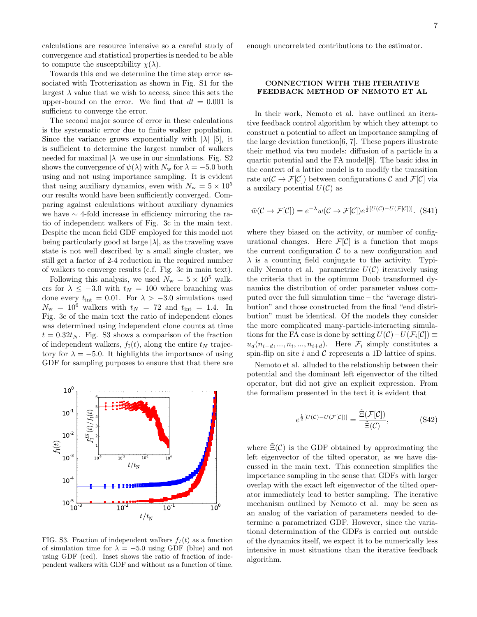calculations are resource intensive so a careful study of convergence and statistical properties is needed to be able to compute the susceptibility  $\chi(\lambda)$ .

Towards this end we determine the time step error associated with Trotterization as shown in Fig. S1 for the largest  $\lambda$  value that we wish to access, since this sets the upper-bound on the error. We find that  $dt = 0.001$  is sufficient to converge the error.

The second major source of error in these calculations is the systematic error due to finite walker population. Since the variance grows exponentially with  $|\lambda|$  [5], it is sufficient to determine the largest number of walkers needed for maximal  $|\lambda|$  we use in our simulations. Fig. S2 shows the convergence of  $\psi(\lambda)$  with  $N_w$  for  $\lambda = -5.0$  both using and not using importance sampling. It is evident that using auxiliary dynamics, even with  $N_{\rm w} = 5 \times 10^5$ our results would have been sufficiently converged. Comparing against calculations without auxiliary dynamics we have ∼ 4-fold increase in efficiency mirroring the ratio of independent walkers of Fig. 3c in the main text. Despite the mean field GDF employed for this model not being particularly good at large  $|\lambda|$ , as the traveling wave state is not well described by a small single cluster, we still get a factor of 2-4 reduction in the required number of walkers to converge results (c.f. Fig. 3c in main text).

Following this analysis, we used  $N_{\rm w} = 5 \times 10^5$  walkers for  $\lambda \leq -3.0$  with  $t_N = 100$  where branching was done every  $t_{\text{int}} = 0.01$ . For  $\lambda > -3.0$  simulations used  $N_{\rm w}$  = 10<sup>6</sup> walkers with  $t_N$  = 72 and  $t_{\rm int}$  = 1.4. In Fig. 3c of the main text the ratio of independent clones was determined using independent clone counts at time  $t = 0.32t_N$ . Fig. S3 shows a comparison of the fraction of independent walkers,  $f_I(t)$ , along the entire  $t_N$  trajectory for  $\lambda = -5.0$ . It highlights the importance of using GDF for sampling purposes to ensure that that there are



FIG. S3. Fraction of independent walkers  $f_I(t)$  as a function of simulation time for  $\lambda = -5.0$  using GDF (blue) and not using GDF (red). Inset shows the ratio of fraction of independent walkers with GDF and without as a function of time.

enough uncorrelated contributions to the estimator.

# CONNECTION WITH THE ITERATIVE FEEDBACK METHOD OF NEMOTO ET AL

In their work, Nemoto et al. have outlined an iterative feedback control algorithm by which they attempt to construct a potential to affect an importance sampling of the large deviation function[6, 7]. These papers illustrate their method via two models: diffusion of a particle in a quartic potential and the FA model[8]. The basic idea in the context of a lattice model is to modify the transition rate  $w(\mathcal{C} \to \mathcal{F}[\mathcal{C}])$  between configurations  $\mathcal{C}$  and  $\mathcal{F}[\mathcal{C}]$  via a auxilary potential  $U(\mathcal{C})$  as

$$
\tilde{w}(\mathcal{C} \to \mathcal{F}[\mathcal{C}]) = e^{-\lambda} w(\mathcal{C} \to \mathcal{F}[\mathcal{C}]) e^{\frac{1}{2}[U(\mathcal{C}) - U(\mathcal{F}[\mathcal{C}])]}. (S41)
$$

where they biased on the activity, or number of configurational changes. Here  $\mathcal{F}[\mathcal{C}]$  is a function that maps the current configuration  $\mathcal C$  to a new configuration and  $\lambda$  is a counting field conjugate to the activity. Typically Nemoto et al. parametrize  $U(\mathcal{C})$  iteratively using the criteria that in the optimum Doob transformed dynamics the distribution of order parameter values computed over the full simulation time – the "average distribution" and those constructed from the final "end distribution" must be identical. Of the models they consider the more complicated many-particle-interacting simulations for the FA case is done by setting  $U(\mathcal{C}) - U(\mathcal{F}_i[\mathcal{C}]) \equiv$  $u_d(n_{i-d},...,n_i,...,n_{i+d})$ . Here  $\mathcal{F}_i$  simply constitutes a spin-flip on site i and  $\mathcal C$  represents a 1D lattice of spins.

Nemoto et al. alluded to the relationship between their potential and the dominant left eigenvector of the tilted operator, but did not give an explicit expression. From the formalism presented in the text it is evident that

$$
e^{\frac{1}{2}[U(\mathcal{C}) - U(\mathcal{F}[\mathcal{C}])]} = \frac{\tilde{\Xi}(\mathcal{F}[\mathcal{C}])}{\tilde{\Xi}(\mathcal{C})},
$$
(S42)

where  $\tilde{\Xi}(\mathcal{C})$  is the GDF obtained by approximating the left eigenvector of the tilted operator, as we have discussed in the main text. This connection simplifies the importance sampling in the sense that GDFs with larger overlap with the exact left eigenvector of the tilted operator immediately lead to better sampling. The iterative mechanism outlined by Nemoto et al. may be seen as an analog of the variation of parameters needed to determine a parametrized GDF. However, since the variational determination of the GDFs is carried out outside of the dynamics itself, we expect it to be numerically less intensive in most situations than the iterative feedback algorithm.